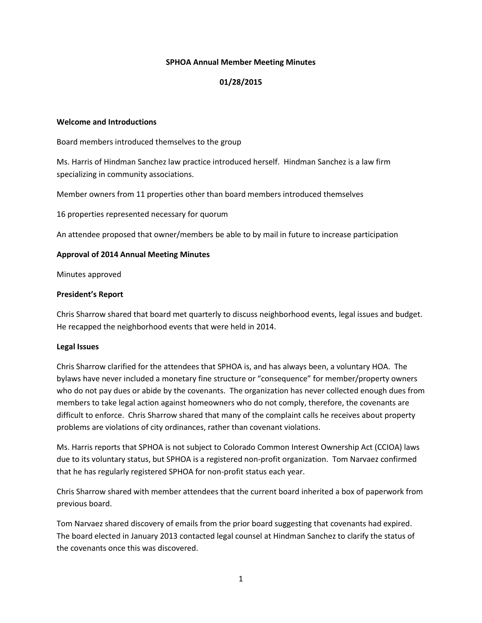#### **SPHOA Annual Member Meeting Minutes**

# **01/28/2015**

#### **Welcome and Introductions**

Board members introduced themselves to the group

Ms. Harris of Hindman Sanchez law practice introduced herself. Hindman Sanchez is a law firm specializing in community associations.

Member owners from 11 properties other than board members introduced themselves

16 properties represented necessary for quorum

An attendee proposed that owner/members be able to by mail in future to increase participation

#### **Approval of 2014 Annual Meeting Minutes**

Minutes approved

#### **President's Report**

Chris Sharrow shared that board met quarterly to discuss neighborhood events, legal issues and budget. He recapped the neighborhood events that were held in 2014.

## **Legal Issues**

Chris Sharrow clarified for the attendees that SPHOA is, and has always been, a voluntary HOA. The bylaws have never included a monetary fine structure or "consequence" for member/property owners who do not pay dues or abide by the covenants. The organization has never collected enough dues from members to take legal action against homeowners who do not comply, therefore, the covenants are difficult to enforce. Chris Sharrow shared that many of the complaint calls he receives about property problems are violations of city ordinances, rather than covenant violations.

Ms. Harris reports that SPHOA is not subject to Colorado Common Interest Ownership Act (CCIOA) laws due to its voluntary status, but SPHOA is a registered non-profit organization. Tom Narvaez confirmed that he has regularly registered SPHOA for non-profit status each year.

Chris Sharrow shared with member attendees that the current board inherited a box of paperwork from previous board.

Tom Narvaez shared discovery of emails from the prior board suggesting that covenants had expired. The board elected in January 2013 contacted legal counsel at Hindman Sanchez to clarify the status of the covenants once this was discovered.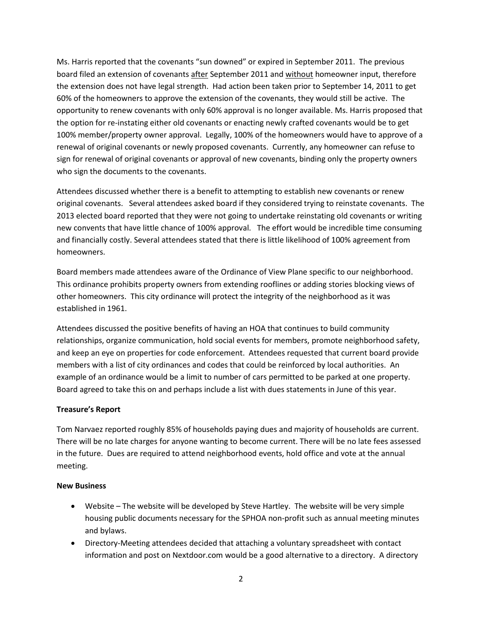Ms. Harris reported that the covenants "sun downed" or expired in September 2011. The previous board filed an extension of covenants after September 2011 and without homeowner input, therefore the extension does not have legal strength. Had action been taken prior to September 14, 2011 to get 60% of the homeowners to approve the extension of the covenants, they would still be active. The opportunity to renew covenants with only 60% approval is no longer available. Ms. Harris proposed that the option for re-instating either old covenants or enacting newly crafted covenants would be to get 100% member/property owner approval. Legally, 100% of the homeowners would have to approve of a renewal of original covenants or newly proposed covenants. Currently, any homeowner can refuse to sign for renewal of original covenants or approval of new covenants, binding only the property owners who sign the documents to the covenants.

Attendees discussed whether there is a benefit to attempting to establish new covenants or renew original covenants. Several attendees asked board if they considered trying to reinstate covenants. The 2013 elected board reported that they were not going to undertake reinstating old covenants or writing new convents that have little chance of 100% approval. The effort would be incredible time consuming and financially costly. Several attendees stated that there is little likelihood of 100% agreement from homeowners.

Board members made attendees aware of the Ordinance of View Plane specific to our neighborhood. This ordinance prohibits property owners from extending rooflines or adding stories blocking views of other homeowners. This city ordinance will protect the integrity of the neighborhood as it was established in 1961.

Attendees discussed the positive benefits of having an HOA that continues to build community relationships, organize communication, hold social events for members, promote neighborhood safety, and keep an eye on properties for code enforcement. Attendees requested that current board provide members with a list of city ordinances and codes that could be reinforced by local authorities. An example of an ordinance would be a limit to number of cars permitted to be parked at one property. Board agreed to take this on and perhaps include a list with dues statements in June of this year.

## **Treasure's Report**

Tom Narvaez reported roughly 85% of households paying dues and majority of households are current. There will be no late charges for anyone wanting to become current. There will be no late fees assessed in the future. Dues are required to attend neighborhood events, hold office and vote at the annual meeting.

## **New Business**

- Website The website will be developed by Steve Hartley. The website will be very simple housing public documents necessary for the SPHOA non-profit such as annual meeting minutes and bylaws.
- Directory-Meeting attendees decided that attaching a voluntary spreadsheet with contact information and post on Nextdoor.com would be a good alternative to a directory. A directory